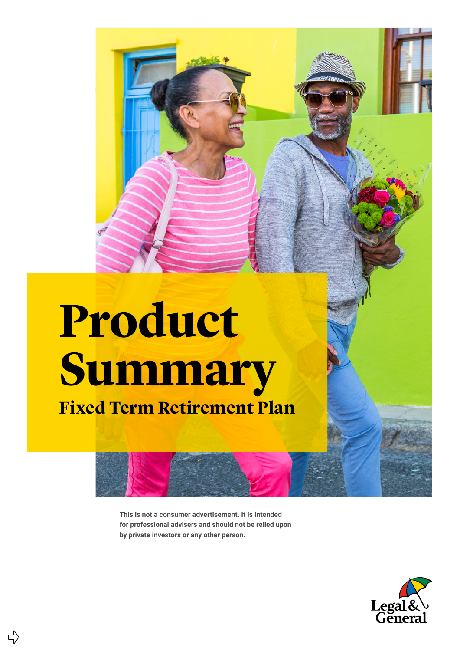### **Product Summary**

**Fixed Term Retirement Plan**

5

**This is not a consumer advertisement. It is intended for professional advisers and should not be relied upon by private investors or any other person.**

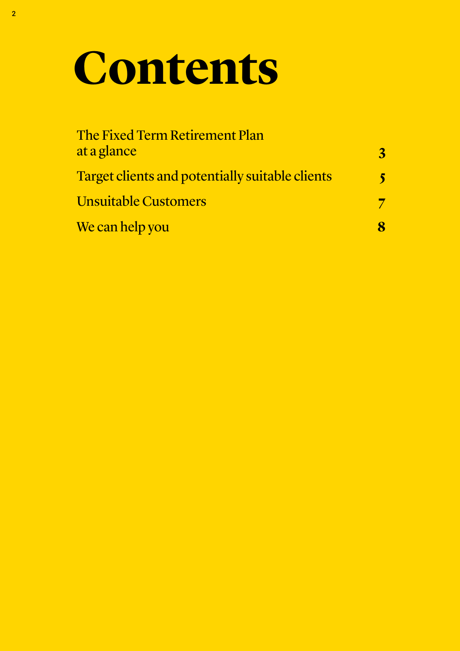### **Contents**

| The Fixed Term Retirement Plan<br>at a glance   | 3 |
|-------------------------------------------------|---|
| Target clients and potentially suitable clients |   |
| <b>Unsuitable Customers</b>                     |   |
| We can help you                                 |   |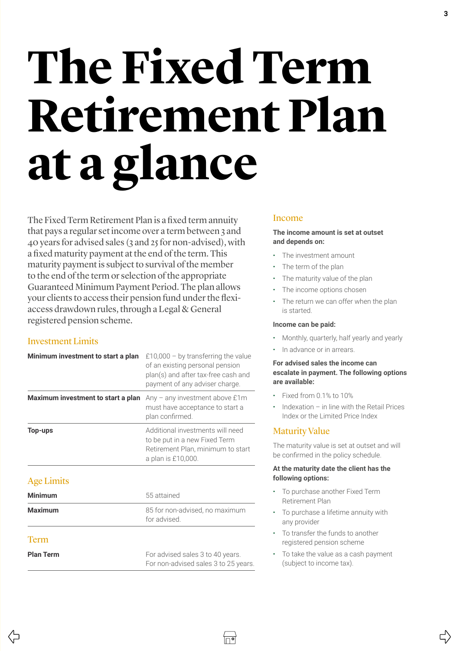## <span id="page-2-0"></span>**The Fixed Term Retirement Plan at a glance**

The Fixed Term Retirement Plan is a fixed term annuity that pays a regular set income over a term between 3 and 40 years for advised sales (3 and 25 for non-advised), with a fixed maturity payment at the end of the term. This maturity payment is subject to survival of the member to the end of the term or selection of the appropriate Guaranteed Minimum Payment Period. The plan allows your clients to access their pension fund under the flexiaccess drawdown rules, through a Legal & General registered pension scheme.

### Investment Limits

(5

| Minimum investment to start a plan | £10,000 – by transferring the value<br>of an existing personal pension<br>plan(s) and after tax-free cash and<br>payment of any adviser charge. |
|------------------------------------|-------------------------------------------------------------------------------------------------------------------------------------------------|
| Maximum investment to start a plan | Any $-$ any investment above $£1m$<br>must have acceptance to start a<br>plan confirmed.                                                        |
| <b>Top-ups</b>                     | Additional investments will need<br>to be put in a new Fixed Term<br>Retirement Plan, minimum to start<br>a plan is £10,000.                    |
| <b>Age Limits</b>                  |                                                                                                                                                 |
| <b>Minimum</b>                     | 55 attained                                                                                                                                     |
| <b>Maximum</b>                     | 85 for non-advised, no maximum<br>for advised                                                                                                   |
| 'l'erm                             |                                                                                                                                                 |
| <b>Plan Term</b>                   | For advised sales 3 to 40 years.<br>For non-advised sales 3 to 25 years.                                                                        |

### Income

#### **The income amount is set at outset and depends on:**

- The investment amount
- The term of the plan
- The maturity value of the plan
- The income options chosen
- The return we can offer when the plan is started.

### **Income can be paid:**

- Monthly, quarterly, half yearly and yearly
- In advance or in arrears.

#### **For advised sales the income can escalate in payment. The following options are available:**

- Fixed from 0.1% to 10%
- Indexation in line with the Retail Prices Index or the Limited Price Index

### Maturity Value

∣⊓∙∣

The maturity value is set at outset and will be confirmed in the policy schedule.

#### **At the maturity date the client has the following options:**

- To purchase another Fixed Term Retirement Plan
- To purchase a lifetime annuity with any provider
- To transfer the funds to another registered pension scheme
- To take the value as a cash payment (subject to income tax).

 $\Box$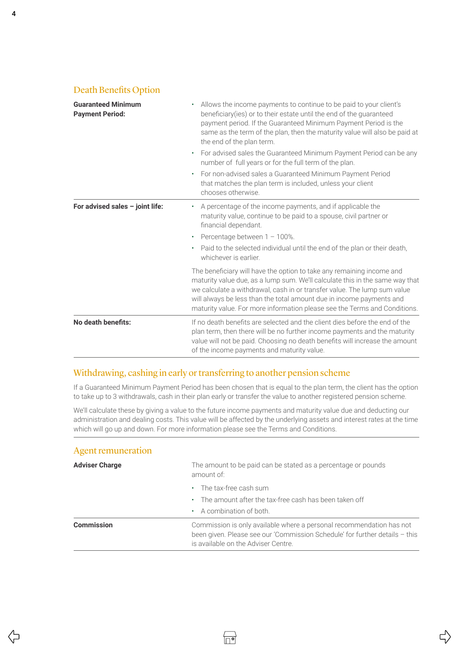### Death Benefits Option

| <b>Guaranteed Minimum</b><br><b>Payment Period:</b> | Allows the income payments to continue to be paid to your client's<br>beneficiary(ies) or to their estate until the end of the guaranteed<br>payment period. If the Guaranteed Minimum Payment Period is the<br>same as the term of the plan, then the maturity value will also be paid at<br>the end of the plan term.                                                                |  |  |
|-----------------------------------------------------|----------------------------------------------------------------------------------------------------------------------------------------------------------------------------------------------------------------------------------------------------------------------------------------------------------------------------------------------------------------------------------------|--|--|
|                                                     | For advised sales the Guaranteed Minimum Payment Period can be any<br>number of full years or for the full term of the plan.                                                                                                                                                                                                                                                           |  |  |
|                                                     | For non-advised sales a Guaranteed Minimum Payment Period<br>٠<br>that matches the plan term is included, unless your client<br>chooses otherwise.                                                                                                                                                                                                                                     |  |  |
| For advised sales - joint life:                     | A percentage of the income payments, and if applicable the<br>maturity value, continue to be paid to a spouse, civil partner or<br>financial dependant.<br>Percentage between $1 - 100\%$ .<br>٠<br>Paid to the selected individual until the end of the plan or their death,<br>whichever is earlier.                                                                                 |  |  |
|                                                     | The beneficiary will have the option to take any remaining income and<br>maturity value due, as a lump sum. We'll calculate this in the same way that<br>we calculate a withdrawal, cash in or transfer value. The lump sum value<br>will always be less than the total amount due in income payments and<br>maturity value. For more information please see the Terms and Conditions. |  |  |
| No death benefits:                                  | If no death benefits are selected and the client dies before the end of the<br>plan term, then there will be no further income payments and the maturity<br>value will not be paid. Choosing no death benefits will increase the amount<br>of the income payments and maturity value.                                                                                                  |  |  |

### Withdrawing, cashing in early or transferring to another pension scheme

If a Guaranteed Minimum Payment Period has been chosen that is equal to the plan term, the client has the option to take up to 3 withdrawals, cash in their plan early or transfer the value to another registered pension scheme.

We'll calculate these by giving a value to the future income payments and maturity value due and deducting our administration and dealing costs. This value will be affected by the underlying assets and interest rates at the time which will go up and down. For more information please see the Terms and Conditions.

#### Agent remuneration

| <b>Adviser Charge</b> | The amount to be paid can be stated as a percentage or pounds<br>amount of:                                                                                                                |  |
|-----------------------|--------------------------------------------------------------------------------------------------------------------------------------------------------------------------------------------|--|
|                       | $\cdot$ The tax-free cash sum<br>• The amount after the tax-free cash has been taken off                                                                                                   |  |
|                       | $\cdot$ A combination of both.                                                                                                                                                             |  |
| <b>Commission</b>     | Commission is only available where a personal recommendation has not<br>been given. Please see our 'Commission Schedule' for further details - this<br>is available on the Adviser Centre. |  |

 $\overleftrightarrow{\Box}$ 

 $\Rightarrow$ 

⇦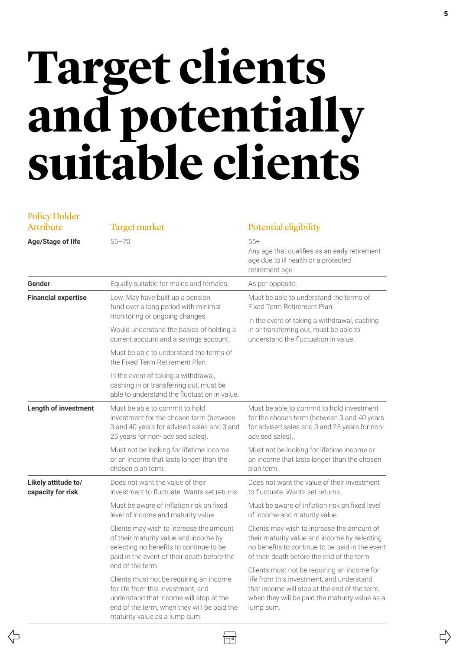### <span id="page-4-0"></span>**Target clients and potentially suitable clients**

| <b>Policy Holder</b>                     |                                                                                                                                                                                                                              |                                                                                                                                                                                                          |
|------------------------------------------|------------------------------------------------------------------------------------------------------------------------------------------------------------------------------------------------------------------------------|----------------------------------------------------------------------------------------------------------------------------------------------------------------------------------------------------------|
| <b>Attribute</b>                         | Target market                                                                                                                                                                                                                | Potential eligibility                                                                                                                                                                                    |
| <b>Age/Stage of life</b>                 | $55 - 70$                                                                                                                                                                                                                    | $55+$<br>Any age that qualifies as an early retirement<br>age due to ill health or a protected<br>retirement age.                                                                                        |
| Gender                                   | Equally suitable for males and females.                                                                                                                                                                                      | As per opposite.                                                                                                                                                                                         |
| <b>Financial expertise</b>               | Low. May have built up a pension<br>fund over a long period with minimal<br>monitoring or ongoing changes.                                                                                                                   | Must be able to understand the terms of<br>Fixed Term Retirement Plan.                                                                                                                                   |
|                                          | Would understand the basics of holding a<br>current account and a savings account.                                                                                                                                           | In the event of taking a withdrawal, cashing<br>in or transferring out, must be able to<br>understand the fluctuation in value.                                                                          |
|                                          | Must be able to understand the terms of<br>the Fixed Term Retirement Plan.                                                                                                                                                   |                                                                                                                                                                                                          |
|                                          | In the event of taking a withdrawal,<br>cashing in or transferring out, must be<br>able to understand the fluctuation in value.                                                                                              |                                                                                                                                                                                                          |
| <b>Length of investment</b>              | Must be able to commit to hold<br>investment for the chosen term (between<br>3 and 40 years for advised sales and 3 and<br>25 years for non-advised sales).                                                                  | Must be able to commit to hold investment<br>for the chosen term (between 3 and 40 years<br>for advised sales and 3 and 25 years for non-<br>advised sales).                                             |
|                                          | Must not be looking for lifetime income<br>or an income that lasts longer than the<br>chosen plan term.                                                                                                                      | Must not be looking for lifetime income or<br>an income that lasts longer than the chosen<br>plan term.                                                                                                  |
| Likely attitude to/<br>capacity for risk | Does not want the value of their<br>investment to fluctuate. Wants set returns.                                                                                                                                              | Does not want the value of their investment<br>to fluctuate. Wants set returns.                                                                                                                          |
|                                          | Must be aware of inflation risk on fixed<br>level of income and maturity value.                                                                                                                                              | Must be aware of inflation risk on fixed level<br>of income and maturity value.                                                                                                                          |
|                                          | Clients may wish to increase the amount<br>of their maturity value and income by<br>selecting no benefits to continue to be<br>paid in the event of their death before the                                                   | Clients may wish to increase the amount of<br>their maturity value and income by selecting<br>no benefits to continue to be paid in the event<br>of their death before the end of the term.              |
|                                          | end of the term.<br>Clients must not be requiring an income<br>for life from this investment, and<br>understand that income will stop at the<br>end of the term, when they will be paid the<br>maturity value as a lump sum. | Clients must not be requiring an income for<br>life from this investment, and understand<br>that income will stop at the end of the term,<br>when they will be paid the maturity value as a<br>lump sum. |

 $\overline{C}$ 

 $\sqrt{\sqrt{2}}$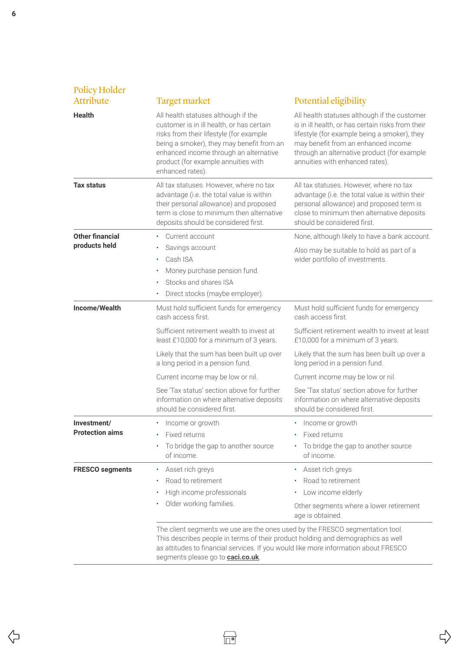| Policy Holder<br><b>Attribute</b>       | <b>Target market</b>                                                                                                                                                                                                                                                                                                                                                                                              | Potential eligibility                                                                                                                                                                                                                                                                                                                                                                                   |
|-----------------------------------------|-------------------------------------------------------------------------------------------------------------------------------------------------------------------------------------------------------------------------------------------------------------------------------------------------------------------------------------------------------------------------------------------------------------------|---------------------------------------------------------------------------------------------------------------------------------------------------------------------------------------------------------------------------------------------------------------------------------------------------------------------------------------------------------------------------------------------------------|
| <b>Health</b>                           | All health statuses although if the<br>customer is in ill health, or has certain<br>risks from their lifestyle (for example<br>being a smoker), they may benefit from an<br>enhanced income through an alternative<br>product (for example annuities with<br>enhanced rates).                                                                                                                                     | All health statuses although if the customer<br>is in ill health, or has certain risks from their<br>lifestyle (for example being a smoker), they<br>may benefit from an enhanced income<br>through an alternative product (for example<br>annuities with enhanced rates).                                                                                                                              |
| <b>Tax status</b>                       | All tax statuses. However, where no tax<br>advantage (i.e. the total value is within<br>their personal allowance) and proposed<br>term is close to minimum then alternative<br>deposits should be considered first.                                                                                                                                                                                               | All tax statuses. However, where no tax<br>advantage (i.e. the total value is within their<br>personal allowance) and proposed term is<br>close to minimum then alternative deposits<br>should be considered first.                                                                                                                                                                                     |
| <b>Other financial</b><br>products held | Current account<br>Savings account<br>Cash ISA<br>Money purchase pension fund.<br>٠<br>Stocks and shares ISA<br>٠<br>Direct stocks (maybe employer).<br>٠                                                                                                                                                                                                                                                         | None, although likely to have a bank account.<br>Also may be suitable to hold as part of a<br>wider portfolio of investments.                                                                                                                                                                                                                                                                           |
| Income/Wealth                           | Must hold sufficient funds for emergency<br>cash access first.<br>Sufficient retirement wealth to invest at<br>least £10,000 for a minimum of 3 years.<br>Likely that the sum has been built up over<br>a long period in a pension fund.<br>Current income may be low or nil.<br>See 'Tax status' section above for further<br>information on where alternative deposits<br>should be considered first.           | Must hold sufficient funds for emergency<br>cash access first.<br>Sufficient retirement wealth to invest at least<br>£10,000 for a minimum of 3 years.<br>Likely that the sum has been built up over a<br>long period in a pension fund.<br>Current income may be low or nil.<br>See 'Tax status' section above for further<br>information on where alternative deposits<br>should be considered first. |
| Investment/<br><b>Protection aims</b>   | Income or growth<br>٠<br>Fixed returns<br>To bridge the gap to another source<br>of income.                                                                                                                                                                                                                                                                                                                       | • Income or growth<br>Fixed returns<br>To bridge the gap to another source<br>of income.                                                                                                                                                                                                                                                                                                                |
| <b>FRESCO segments</b>                  | Asset rich greys<br>٠<br>Road to retirement<br>High income professionals<br>٠<br>Older working families.<br>The client segments we use are the ones used by the FRESCO segmentation tool.<br>This describes people in terms of their product holding and demographics as well<br>as attitudes to financial services. If you would like more information about FRESCO<br>segments please go to <b>caci.co.uk</b> . | Asset rich greys<br>$\bullet$<br>Road to retirement<br>Low income elderly<br>Other segments where a lower retirement<br>age is obtained.                                                                                                                                                                                                                                                                |

 $\overline{\bigtriangledown}$ 

 $\Rightarrow$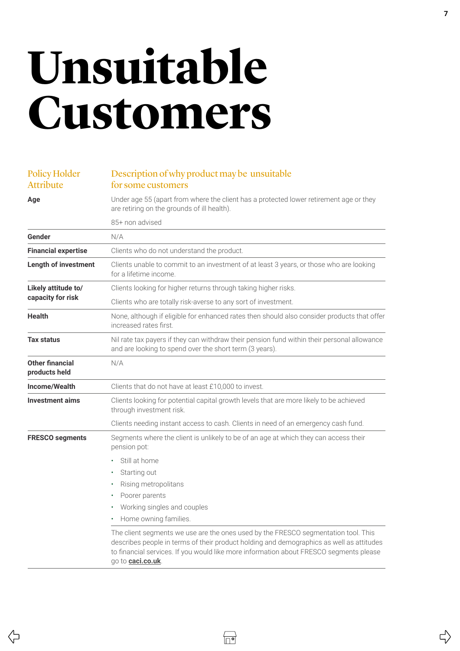### <span id="page-6-0"></span>**Unsuitable Customers**

### Policy Holder Attribute

### Description of why product may be unsuitable for some customers

**Age** Under age 55 (apart from where the client has a protected lower retirement age or they are retiring on the grounds of ill health). 85+ non advised Gender N/A **Financial expertise** Clients who do not understand the product. **Length of investment** Clients unable to commit to an investment of at least 3 years, or those who are looking for a lifetime income. **Likely attitude to/ capacity for risk** Clients looking for higher returns through taking higher risks. Clients who are totally risk-averse to any sort of investment. **Health** None, although if eligible for enhanced rates then should also consider products that offer increased rates first. **Tax status** Nil rate tax payers if they can withdraw their pension fund within their personal allowance and are looking to spend over the short term (3 years). **Other financial products held** N/A **Income/Wealth** Clients that do not have at least £10,000 to invest. **Investment aims** Clients looking for potential capital growth levels that are more likely to be achieved through investment risk. Clients needing instant access to cash. Clients in need of an emergency cash fund. **FRESCO segments** Segments where the client is unlikely to be of an age at which they can access their pension pot: • Still at home Starting out • Rising metropolitans Poorer parents • Working singles and couples • Home owning families. The client segments we use are the ones used by the FRESCO segmentation tool. This describes people in terms of their product holding and demographics as well as attitudes to financial services. If you would like more information about FRESCO segments please go to **[caci.co.uk](http://caci.co.uk)**.

 $\vec{r}$